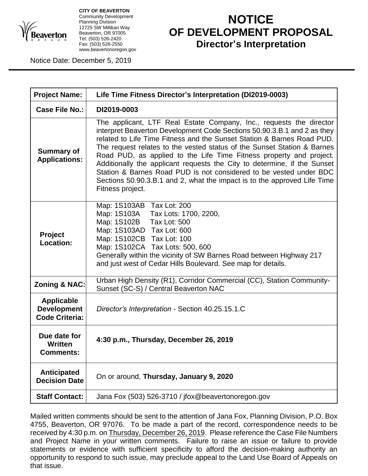

**CITY OF BEAVERTON** Community Development Planning Division 12725 SW Millikan Way Beaverton, OR 97005 Tel: (503) 526-2420 Fax: (503) 526-2550 www.beavertonoregon.gov

## **NOTICE OF DEVELOPMENT PROPOSAL Director's Interpretation**

Notice Date: December 5, 2019

| <b>Project Name:</b>                                             | Life Time Fitness Director's Interpretation (DI2019-0003)                                                                                                                                                                                                                                                                                                                                                                                                                                                                                                                                                                    |
|------------------------------------------------------------------|------------------------------------------------------------------------------------------------------------------------------------------------------------------------------------------------------------------------------------------------------------------------------------------------------------------------------------------------------------------------------------------------------------------------------------------------------------------------------------------------------------------------------------------------------------------------------------------------------------------------------|
| <b>Case File No.:</b>                                            | DI2019-0003                                                                                                                                                                                                                                                                                                                                                                                                                                                                                                                                                                                                                  |
| <b>Summary of</b><br><b>Applications:</b>                        | The applicant, LTF Real Estate Company, Inc., requests the director<br>interpret Beaverton Development Code Sections 50.90.3.B.1 and 2 as they<br>related to Life Time Fitness and the Sunset Station & Barnes Road PUD.<br>The request relates to the vested status of the Sunset Station & Barnes<br>Road PUD, as applied to the Life Time Fitness property and project.<br>Additionally the applicant requests the City to determine, if the Sunset<br>Station & Barnes Road PUD is not considered to be vested under BDC<br>Sections 50.90.3.B.1 and 2, what the impact is to the approved Life Time<br>Fitness project. |
| Project<br>Location:                                             | Map: 1S103AB Tax Lot: 200<br>Map: 1S103A Tax Lots: 1700, 2200,<br>Map: 1S102B Tax Lot: 500<br>Map: 1S103AD Tax Lot: 600<br>Map: 1S102CB Tax Lot: 100<br>Map: 1S102CA Tax Lots: 500, 600<br>Generally within the vicinity of SW Barnes Road between Highway 217<br>and just west of Cedar Hills Boulevard. See map for details.                                                                                                                                                                                                                                                                                               |
| <b>Zoning &amp; NAC:</b>                                         | Urban High Density (R1), Corridor Commercial (CC), Station Community-<br>Sunset (SC-S) / Central Beaverton NAC                                                                                                                                                                                                                                                                                                                                                                                                                                                                                                               |
| <b>Applicable</b><br><b>Development</b><br><b>Code Criteria:</b> | Director's Interpretation - Section 40.25.15.1.C                                                                                                                                                                                                                                                                                                                                                                                                                                                                                                                                                                             |
| Due date for<br>Written<br><b>Comments:</b>                      | 4:30 p.m., Thursday, December 26, 2019                                                                                                                                                                                                                                                                                                                                                                                                                                                                                                                                                                                       |
| Anticipated<br><b>Decision Date</b>                              | On or around, Thursday, January 9, 2020                                                                                                                                                                                                                                                                                                                                                                                                                                                                                                                                                                                      |
| <b>Staff Contact:</b>                                            | Jana Fox (503) 526-3710 / jfox@beavertonoregon.gov                                                                                                                                                                                                                                                                                                                                                                                                                                                                                                                                                                           |

Mailed written comments should be sent to the attention of Jana Fox, Planning Division, P.O. Box 4755, Beaverton, OR 97076. To be made a part of the record, correspondence needs to be received by 4:30 p.m. on Thursday, December 26, 2019. Please reference the Case File Numbers and Project Name in your written comments. Failure to raise an issue or failure to provide statements or evidence with sufficient specificity to afford the decision-making authority an opportunity to respond to such issue, may preclude appeal to the Land Use Board of Appeals on that issue.